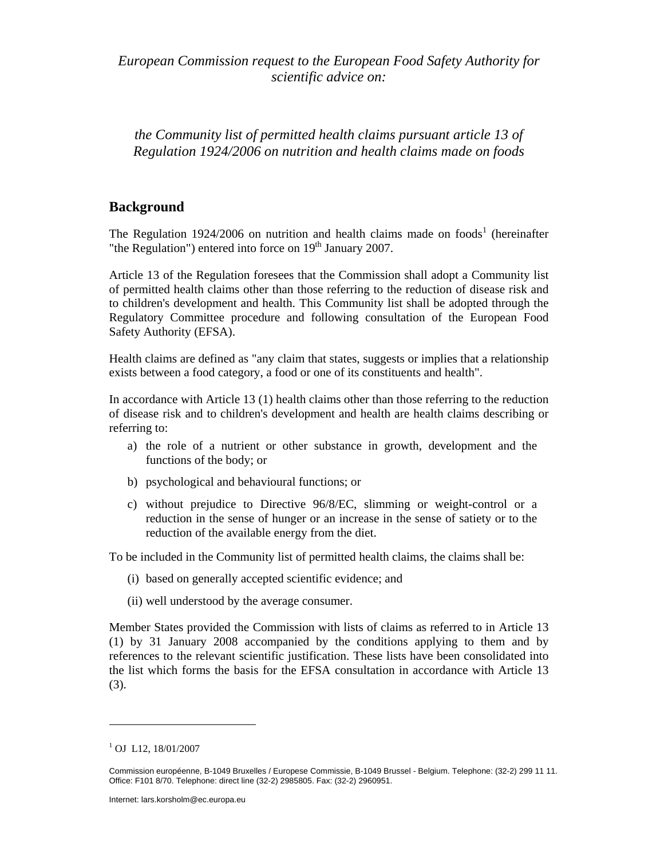*European Commission request to the European Food Safety Authority for scientific advice on:* 

*the Community list of permitted health claims pursuant article 13 of Regulation 1924/2006 on nutrition and health claims made on foods* 

## **Background**

The Regulation 1924/2006 on nutrition and health claims made on foods<sup>1</sup> (hereinafter "the Regulation") entered into force on  $19<sup>th</sup>$  January 2007.

Article 13 of the Regulation foresees that the Commission shall adopt a Community list of permitted health claims other than those referring to the reduction of disease risk and to children's development and health. This Community list shall be adopted through the Regulatory Committee procedure and following consultation of the European Food Safety Authority (EFSA).

Health claims are defined as "any claim that states, suggests or implies that a relationship exists between a food category, a food or one of its constituents and health".

In accordance with Article 13 (1) health claims other than those referring to the reduction of disease risk and to children's development and health are health claims describing or referring to:

- a) the role of a nutrient or other substance in growth, development and the functions of the body; or
- b) psychological and behavioural functions; or
- c) without prejudice to Directive 96/8/EC, slimming or weight-control or a reduction in the sense of hunger or an increase in the sense of satiety or to the reduction of the available energy from the diet.

To be included in the Community list of permitted health claims, the claims shall be:

- (i) based on generally accepted scientific evidence; and
- (ii) well understood by the average consumer.

Member States provided the Commission with lists of claims as referred to in Article 13 (1) by 31 January 2008 accompanied by the conditions applying to them and by references to the relevant scientific justification. These lists have been consolidated into the list which forms the basis for the EFSA consultation in accordance with Article 13 (3).

 $\overline{a}$ 

<sup>&</sup>lt;sup>1</sup> OJ L12, 18/01/2007

Commission européenne, B-1049 Bruxelles / Europese Commissie, B-1049 Brussel - Belgium. Telephone: (32-2) 299 11 11. Office: F101 8/70. Telephone: direct line (32-2) 2985805. Fax: (32-2) 2960951.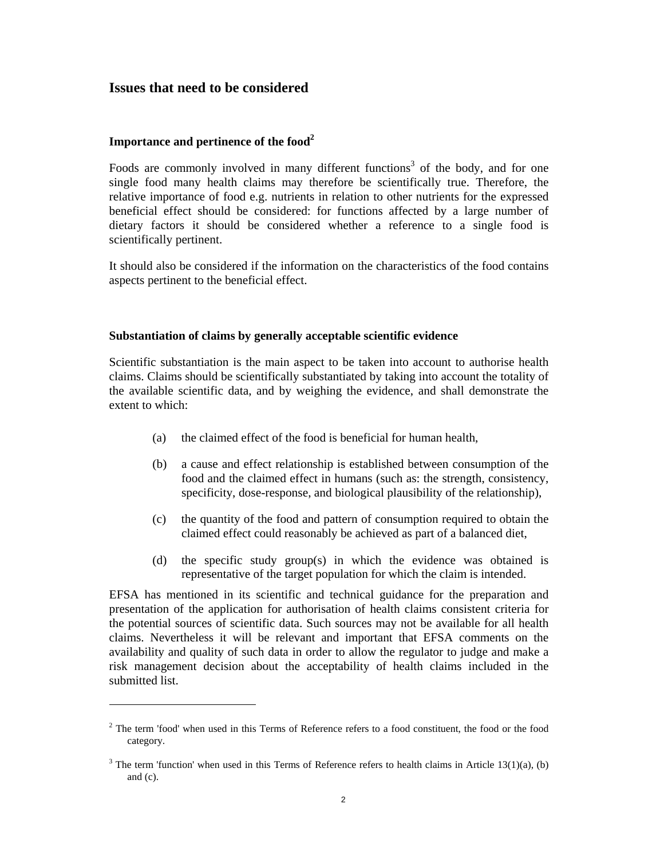## **Issues that need to be considered**

## **Importance and pertinence of the food2**

 $\overline{a}$ 

Foods are commonly involved in many different functions<sup>3</sup> of the body, and for one single food many health claims may therefore be scientifically true. Therefore, the relative importance of food e.g. nutrients in relation to other nutrients for the expressed beneficial effect should be considered: for functions affected by a large number of dietary factors it should be considered whether a reference to a single food is scientifically pertinent.

It should also be considered if the information on the characteristics of the food contains aspects pertinent to the beneficial effect.

#### **Substantiation of claims by generally acceptable scientific evidence**

Scientific substantiation is the main aspect to be taken into account to authorise health claims. Claims should be scientifically substantiated by taking into account the totality of the available scientific data, and by weighing the evidence, and shall demonstrate the extent to which:

- (a) the claimed effect of the food is beneficial for human health,
- (b) a cause and effect relationship is established between consumption of the food and the claimed effect in humans (such as: the strength, consistency, specificity, dose-response, and biological plausibility of the relationship),
- (c) the quantity of the food and pattern of consumption required to obtain the claimed effect could reasonably be achieved as part of a balanced diet,
- (d) the specific study group(s) in which the evidence was obtained is representative of the target population for which the claim is intended.

EFSA has mentioned in its scientific and technical guidance for the preparation and presentation of the application for authorisation of health claims consistent criteria for the potential sources of scientific data. Such sources may not be available for all health claims. Nevertheless it will be relevant and important that EFSA comments on the availability and quality of such data in order to allow the regulator to judge and make a risk management decision about the acceptability of health claims included in the submitted list.

 $2$  The term 'food' when used in this Terms of Reference refers to a food constituent, the food or the food category.

<sup>&</sup>lt;sup>3</sup> The term 'function' when used in this Terms of Reference refers to health claims in Article 13(1)(a), (b) and (c).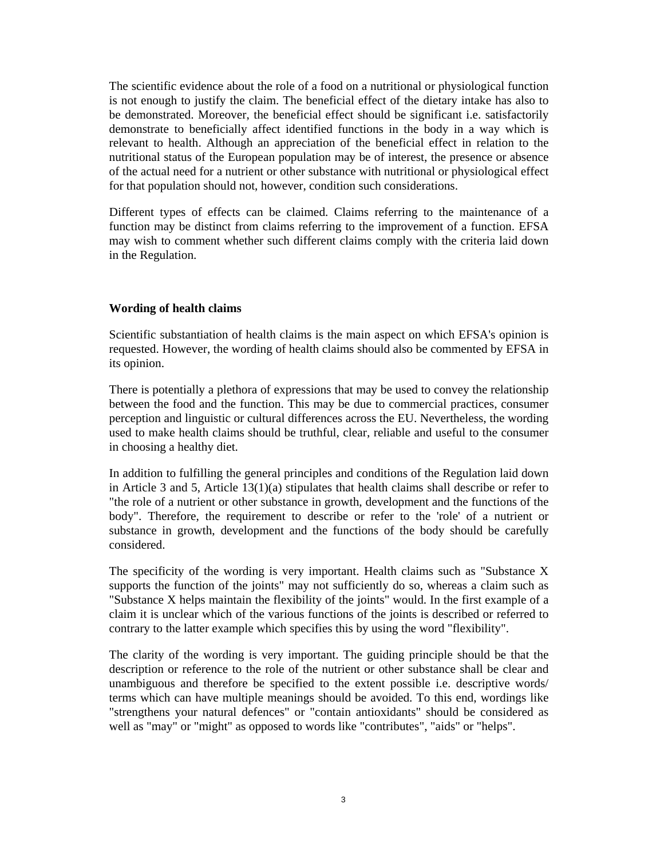The scientific evidence about the role of a food on a nutritional or physiological function is not enough to justify the claim. The beneficial effect of the dietary intake has also to be demonstrated. Moreover, the beneficial effect should be significant i.e. satisfactorily demonstrate to beneficially affect identified functions in the body in a way which is relevant to health. Although an appreciation of the beneficial effect in relation to the nutritional status of the European population may be of interest, the presence or absence of the actual need for a nutrient or other substance with nutritional or physiological effect for that population should not, however, condition such considerations.

Different types of effects can be claimed. Claims referring to the maintenance of a function may be distinct from claims referring to the improvement of a function. EFSA may wish to comment whether such different claims comply with the criteria laid down in the Regulation.

#### **Wording of health claims**

Scientific substantiation of health claims is the main aspect on which EFSA's opinion is requested. However, the wording of health claims should also be commented by EFSA in its opinion.

There is potentially a plethora of expressions that may be used to convey the relationship between the food and the function. This may be due to commercial practices, consumer perception and linguistic or cultural differences across the EU. Nevertheless, the wording used to make health claims should be truthful, clear, reliable and useful to the consumer in choosing a healthy diet.

In addition to fulfilling the general principles and conditions of the Regulation laid down in Article 3 and 5, Article  $13(1)(a)$  stipulates that health claims shall describe or refer to "the role of a nutrient or other substance in growth, development and the functions of the body". Therefore, the requirement to describe or refer to the 'role' of a nutrient or substance in growth, development and the functions of the body should be carefully considered.

The specificity of the wording is very important. Health claims such as "Substance X supports the function of the joints" may not sufficiently do so, whereas a claim such as "Substance X helps maintain the flexibility of the joints" would. In the first example of a claim it is unclear which of the various functions of the joints is described or referred to contrary to the latter example which specifies this by using the word "flexibility".

The clarity of the wording is very important. The guiding principle should be that the description or reference to the role of the nutrient or other substance shall be clear and unambiguous and therefore be specified to the extent possible i.e. descriptive words/ terms which can have multiple meanings should be avoided. To this end, wordings like "strengthens your natural defences" or "contain antioxidants" should be considered as well as "may" or "might" as opposed to words like "contributes", "aids" or "helps".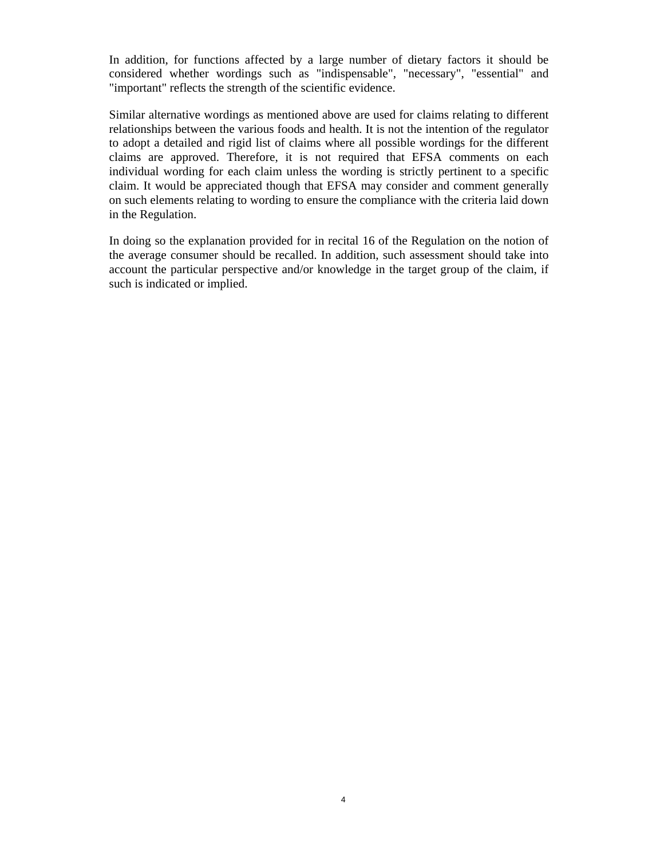In addition, for functions affected by a large number of dietary factors it should be considered whether wordings such as "indispensable", "necessary", "essential" and "important" reflects the strength of the scientific evidence.

Similar alternative wordings as mentioned above are used for claims relating to different relationships between the various foods and health. It is not the intention of the regulator to adopt a detailed and rigid list of claims where all possible wordings for the different claims are approved. Therefore, it is not required that EFSA comments on each individual wording for each claim unless the wording is strictly pertinent to a specific claim. It would be appreciated though that EFSA may consider and comment generally on such elements relating to wording to ensure the compliance with the criteria laid down in the Regulation.

In doing so the explanation provided for in recital 16 of the Regulation on the notion of the average consumer should be recalled. In addition, such assessment should take into account the particular perspective and/or knowledge in the target group of the claim, if such is indicated or implied.